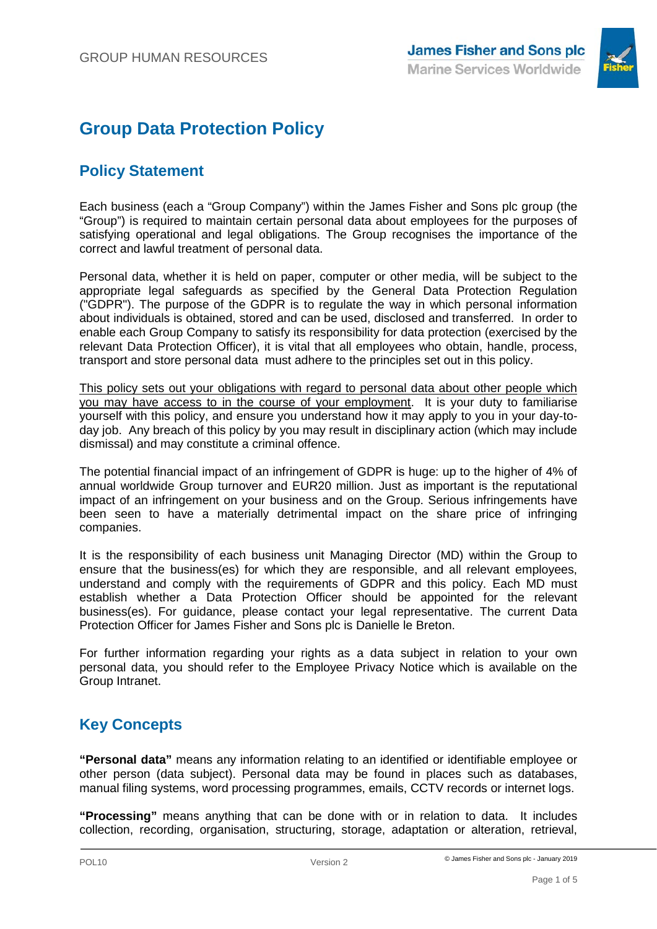

# **Group Data Protection Policy**

# **Policy Statement**

Each business (each a "Group Company") within the James Fisher and Sons plc group (the "Group") is required to maintain certain personal data about employees for the purposes of satisfying operational and legal obligations. The Group recognises the importance of the correct and lawful treatment of personal data.

Personal data, whether it is held on paper, computer or other media, will be subject to the appropriate legal safeguards as specified by the General Data Protection Regulation ("GDPR"). The purpose of the GDPR is to regulate the way in which personal information about individuals is obtained, stored and can be used, disclosed and transferred. In order to enable each Group Company to satisfy its responsibility for data protection (exercised by the relevant Data Protection Officer), it is vital that all employees who obtain, handle, process, transport and store personal data must adhere to the principles set out in this policy.

This policy sets out your obligations with regard to personal data about other people which you may have access to in the course of your employment. It is your duty to familiarise yourself with this policy, and ensure you understand how it may apply to you in your day-today job. Any breach of this policy by you may result in disciplinary action (which may include dismissal) and may constitute a criminal offence.

The potential financial impact of an infringement of GDPR is huge: up to the higher of 4% of annual worldwide Group turnover and EUR20 million. Just as important is the reputational impact of an infringement on your business and on the Group. Serious infringements have been seen to have a materially detrimental impact on the share price of infringing companies.

It is the responsibility of each business unit Managing Director (MD) within the Group to ensure that the business(es) for which they are responsible, and all relevant employees, understand and comply with the requirements of GDPR and this policy. Each MD must establish whether a Data Protection Officer should be appointed for the relevant business(es). For guidance, please contact your legal representative. The current Data Protection Officer for James Fisher and Sons plc is Danielle le Breton.

For further information regarding your rights as a data subject in relation to your own personal data, you should refer to the Employee Privacy Notice which is available on the Group Intranet.

# **Key Concepts**

**"Personal data"** means any information relating to an identified or identifiable employee or other person (data subject). Personal data may be found in places such as databases, manual filing systems, word processing programmes, emails, CCTV records or internet logs.

**"Processing"** means anything that can be done with or in relation to data. It includes collection, recording, organisation, structuring, storage, adaptation or alteration, retrieval,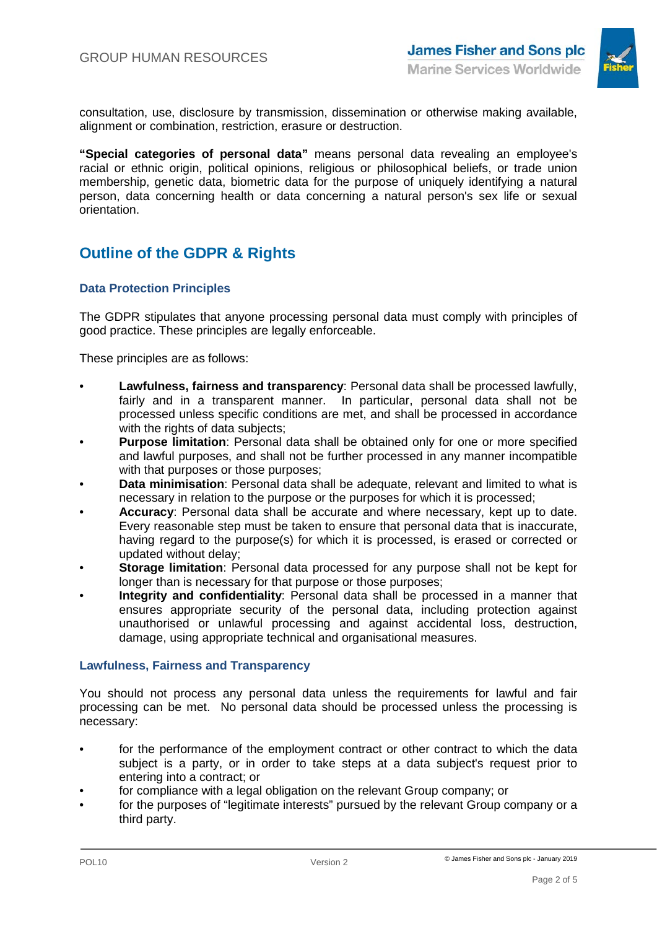

consultation, use, disclosure by transmission, dissemination or otherwise making available, alignment or combination, restriction, erasure or destruction.

**"Special categories of personal data"** means personal data revealing an employee's racial or ethnic origin, political opinions, religious or philosophical beliefs, or trade union membership, genetic data, biometric data for the purpose of uniquely identifying a natural person, data concerning health or data concerning a natural person's sex life or sexual orientation.

# **Outline of the GDPR & Rights**

## **Data Protection Principles**

The GDPR stipulates that anyone processing personal data must comply with principles of good practice. These principles are legally enforceable.

These principles are as follows:

- **Lawfulness, fairness and transparency**: Personal data shall be processed lawfully, fairly and in a transparent manner. In particular, personal data shall not be processed unless specific conditions are met, and shall be processed in accordance with the rights of data subjects;
- **Purpose limitation:** Personal data shall be obtained only for one or more specified and lawful purposes, and shall not be further processed in any manner incompatible with that purposes or those purposes;
- **Data minimisation**: Personal data shall be adequate, relevant and limited to what is necessary in relation to the purpose or the purposes for which it is processed;
- **Accuracy**: Personal data shall be accurate and where necessary, kept up to date. Every reasonable step must be taken to ensure that personal data that is inaccurate, having regard to the purpose(s) for which it is processed, is erased or corrected or updated without delay;
- **Storage limitation**: Personal data processed for any purpose shall not be kept for longer than is necessary for that purpose or those purposes;
- **Integrity and confidentiality**: Personal data shall be processed in a manner that ensures appropriate security of the personal data, including protection against unauthorised or unlawful processing and against accidental loss, destruction, damage, using appropriate technical and organisational measures.

## **Lawfulness, Fairness and Transparency**

You should not process any personal data unless the requirements for lawful and fair processing can be met. No personal data should be processed unless the processing is necessary:

- for the performance of the employment contract or other contract to which the data subject is a party, or in order to take steps at a data subject's request prior to entering into a contract; or
- for compliance with a legal obligation on the relevant Group company; or
- for the purposes of "legitimate interests" pursued by the relevant Group company or a third party.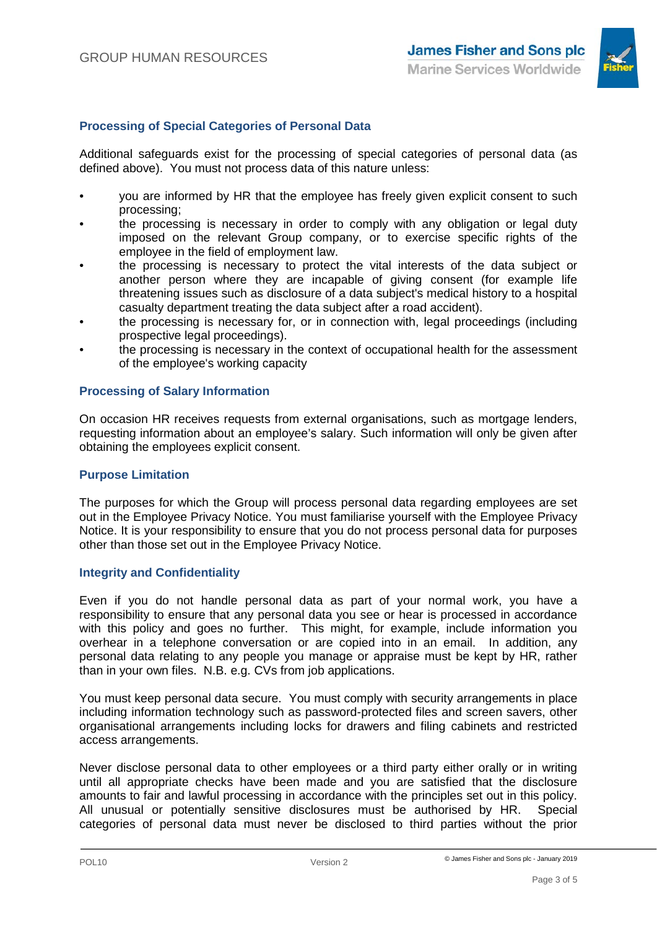

# **Processing of Special Categories of Personal Data**

Additional safeguards exist for the processing of special categories of personal data (as defined above). You must not process data of this nature unless:

- you are informed by HR that the employee has freely given explicit consent to such processing;
- the processing is necessary in order to comply with any obligation or legal duty imposed on the relevant Group company, or to exercise specific rights of the employee in the field of employment law.
- the processing is necessary to protect the vital interests of the data subject or another person where they are incapable of giving consent (for example life threatening issues such as disclosure of a data subject's medical history to a hospital casualty department treating the data subject after a road accident).
- the processing is necessary for, or in connection with, legal proceedings (including prospective legal proceedings).
- the processing is necessary in the context of occupational health for the assessment of the employee's working capacity

## **Processing of Salary Information**

On occasion HR receives requests from external organisations, such as mortgage lenders, requesting information about an employee's salary. Such information will only be given after obtaining the employees explicit consent.

#### **Purpose Limitation**

The purposes for which the Group will process personal data regarding employees are set out in the Employee Privacy Notice. You must familiarise yourself with the Employee Privacy Notice. It is your responsibility to ensure that you do not process personal data for purposes other than those set out in the Employee Privacy Notice.

#### **Integrity and Confidentiality**

Even if you do not handle personal data as part of your normal work, you have a responsibility to ensure that any personal data you see or hear is processed in accordance with this policy and goes no further. This might, for example, include information you overhear in a telephone conversation or are copied into in an email. In addition, any personal data relating to any people you manage or appraise must be kept by HR, rather than in your own files. N.B. e.g. CVs from job applications.

You must keep personal data secure. You must comply with security arrangements in place including information technology such as password-protected files and screen savers, other organisational arrangements including locks for drawers and filing cabinets and restricted access arrangements.

Never disclose personal data to other employees or a third party either orally or in writing until all appropriate checks have been made and you are satisfied that the disclosure amounts to fair and lawful processing in accordance with the principles set out in this policy. All unusual or potentially sensitive disclosures must be authorised by HR. Special categories of personal data must never be disclosed to third parties without the prior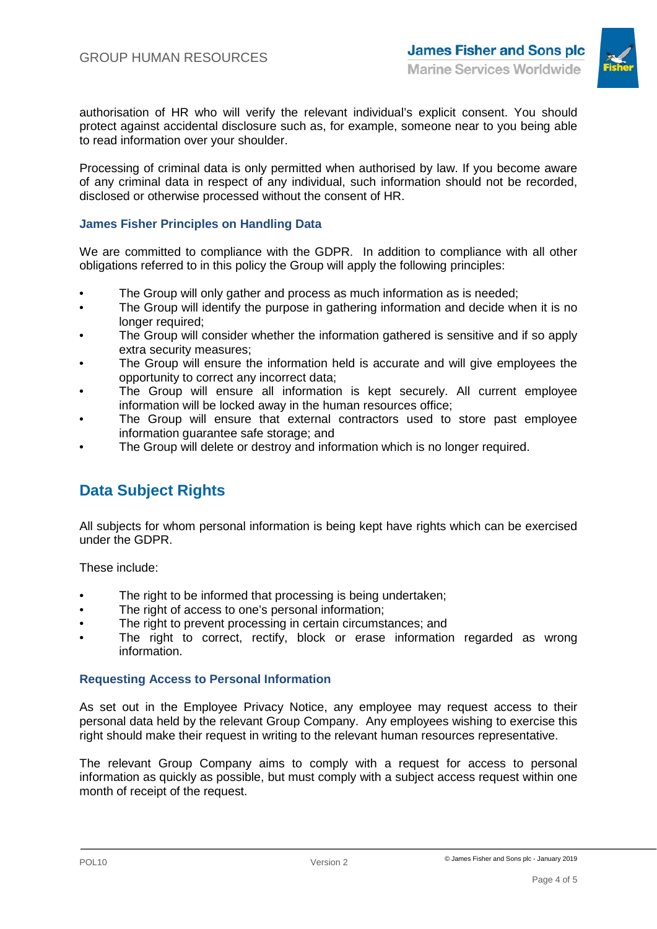

authorisation of HR who will verify the relevant individual's explicit consent. You should protect against accidental disclosure such as, for example, someone near to you being able to read information over your shoulder.

Processing of criminal data is only permitted when authorised by law. If you become aware of any criminal data in respect of any individual, such information should not be recorded, disclosed or otherwise processed without the consent of HR.

## **James Fisher Principles on Handling Data**

We are committed to compliance with the GDPR. In addition to compliance with all other obligations referred to in this policy the Group will apply the following principles:

- The Group will only gather and process as much information as is needed;<br>• The Group will identify the purpose in gathering information and decide wh
- The Group will identify the purpose in gathering information and decide when it is no longer required:
- The Group will consider whether the information gathered is sensitive and if so apply extra security measures;
- The Group will ensure the information held is accurate and will give employees the opportunity to correct any incorrect data;
- The Group will ensure all information is kept securely. All current employee information will be locked away in the human resources office;
- The Group will ensure that external contractors used to store past employee information guarantee safe storage; and
- The Group will delete or destroy and information which is no longer required.

# **Data Subject Rights**

All subjects for whom personal information is being kept have rights which can be exercised under the GDPR.

These include:

- The right to be informed that processing is being undertaken;
- The right of access to one's personal information;<br>• The right to prevent processing in certain circumst
- The right to prevent processing in certain circumstances; and
- The right to correct, rectify, block or erase information regarded as wrong information.

#### **Requesting Access to Personal Information**

As set out in the Employee Privacy Notice, any employee may request access to their personal data held by the relevant Group Company. Any employees wishing to exercise this right should make their request in writing to the relevant human resources representative.

The relevant Group Company aims to comply with a request for access to personal information as quickly as possible, but must comply with a subject access request within one month of receipt of the request.